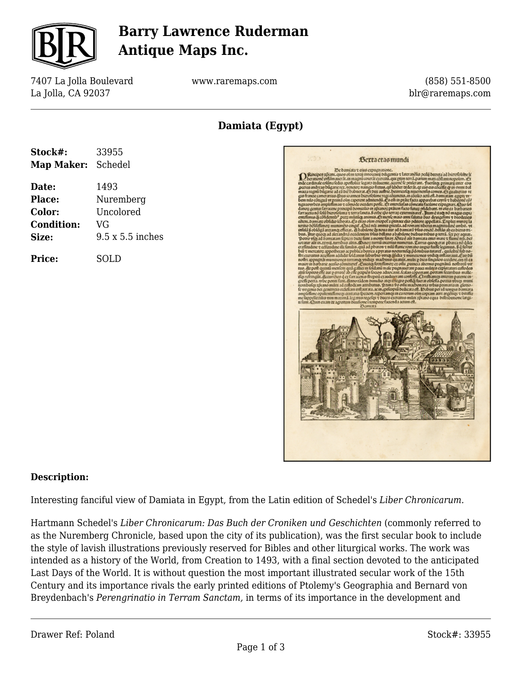

## **Barry Lawrence Ruderman Antique Maps Inc.**

7407 La Jolla Boulevard La Jolla, CA 92037

www.raremaps.com

(858) 551-8500 blr@raremaps.com

**Damiata (Egypt)**

| Stock#:           | 33955                   |
|-------------------|-------------------------|
| Map Maker:        | Schedel                 |
| Date:             | 1493                    |
| Place:            | Nuremberg               |
| <b>Color:</b>     | Uncolored               |
| <b>Condition:</b> | VG                      |
| Size:             | $9.5 \times 5.5$ inches |
| <b>Price:</b>     | SOLD                    |



#### **Description:**

Interesting fanciful view of Damiata in Egypt, from the Latin edition of Schedel's *Liber Chronicarum.*

Hartmann Schedel's *Liber Chronicarum: Das Buch der Croniken und Geschichten* (commonly referred to as the Nuremberg Chronicle, based upon the city of its publication), was the first secular book to include the style of lavish illustrations previously reserved for Bibles and other liturgical works. The work was intended as a history of the World, from Creation to 1493, with a final section devoted to the anticipated Last Days of the World. It is without question the most important illustrated secular work of the 15th Century and its importance rivals the early printed editions of Ptolemy's Geographia and Bernard von Breydenbach's *Perengrinatio in Terram Sanctam,* in terms of its importance in the development and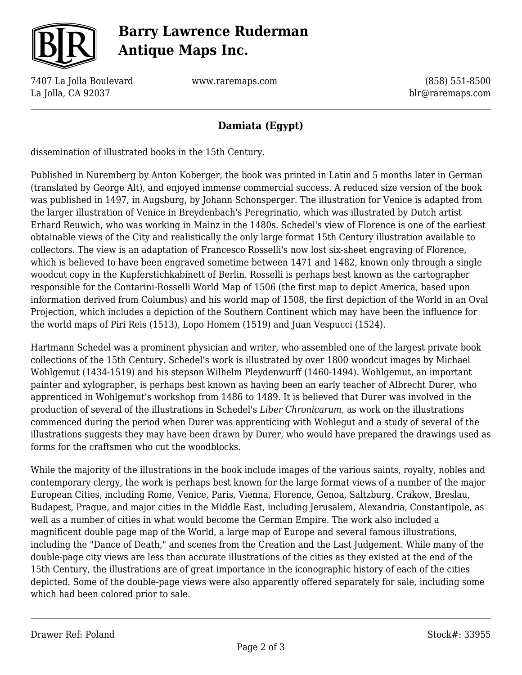

# **Barry Lawrence Ruderman Antique Maps Inc.**

7407 La Jolla Boulevard La Jolla, CA 92037

www.raremaps.com

(858) 551-8500 blr@raremaps.com

### **Damiata (Egypt)**

dissemination of illustrated books in the 15th Century.

Published in Nuremberg by Anton Koberger, the book was printed in Latin and 5 months later in German (translated by George Alt), and enjoyed immense commercial success. A reduced size version of the book was published in 1497, in Augsburg, by Johann Schonsperger. The illustration for Venice is adapted from the larger illustration of Venice in Breydenbach's Peregrinatio, which was illustrated by Dutch artist Erhard Reuwich, who was working in Mainz in the 1480s. Schedel's view of Florence is one of the earliest obtainable views of the City and realistically the only large format 15th Century illustration available to collectors. The view is an adaptation of Francesco Rosselli's now lost six-sheet engraving of Florence, which is believed to have been engraved sometime between 1471 and 1482, known only through a single woodcut copy in the Kupferstichkabinett of Berlin. Rosselli is perhaps best known as the cartographer responsible for the Contarini-Rosselli World Map of 1506 (the first map to depict America, based upon information derived from Columbus) and his world map of 1508, the first depiction of the World in an Oval Projection, which includes a depiction of the Southern Continent which may have been the influence for the world maps of Piri Reis (1513), Lopo Homem (1519) and Juan Vespucci (1524).

Hartmann Schedel was a prominent physician and writer, who assembled one of the largest private book collections of the 15th Century. Schedel's work is illustrated by over 1800 woodcut images by Michael Wohlgemut (1434-1519) and his stepson Wilhelm Pleydenwurff (1460-1494). Wohlgemut, an important painter and xylographer, is perhaps best known as having been an early teacher of Albrecht Durer, who apprenticed in Wohlgemut's workshop from 1486 to 1489. It is believed that Durer was involved in the production of several of the illustrations in Schedel's *Liber Chronicarum*, as work on the illustrations commenced during the period when Durer was apprenticing with Wohlegut and a study of several of the illustrations suggests they may have been drawn by Durer, who would have prepared the drawings used as forms for the craftsmen who cut the woodblocks.

While the majority of the illustrations in the book include images of the various saints, royalty, nobles and contemporary clergy, the work is perhaps best known for the large format views of a number of the major European Cities, including Rome, Venice, Paris, Vienna, Florence, Genoa, Saltzburg, Crakow, Breslau, Budapest, Prague, and major cities in the Middle East, including Jerusalem, Alexandria, Constantipole, as well as a number of cities in what would become the German Empire. The work also included a magnificent double page map of the World, a large map of Europe and several famous illustrations, including the "Dance of Death," and scenes from the Creation and the Last Judgement. While many of the double-page city views are less than accurate illustrations of the cities as they existed at the end of the 15th Century, the illustrations are of great importance in the iconographic history of each of the cities depicted. Some of the double-page views were also apparently offered separately for sale, including some which had been colored prior to sale.